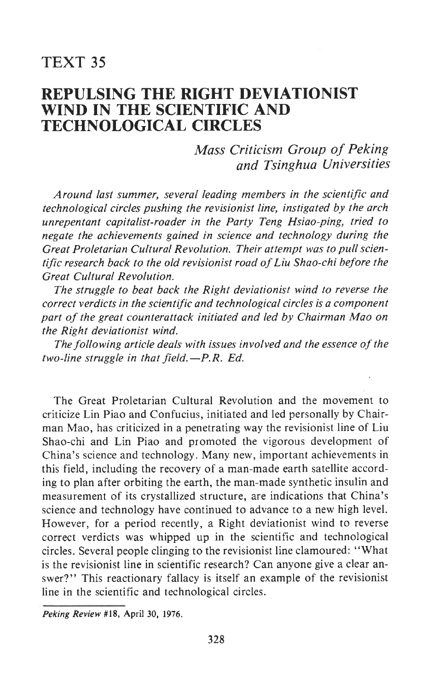# TEXT 35

# REPULSING THE RIGHT DEVIATIONIST WIND IN THE SCIENTIFIC AND TECHNOLOGICAL CIRCLES

## Mass Criticism Group of Peking and Tsinghua Universities

Around last summer, several leading members in the scientific and technological circles pushing the revisionist line, instigated by the orch unrepentanl capitalist-roader in the Porty Teng Hsiao-ping, tried to negate the achievements gained in science and technology during the Great Proletarian Cultural Revolution. Their attempt was to pull scientific research back to the old revisionist road of Liu Shao-chi before the Great Cultural Revolution.

The struggle to beat back the Right deviationist wind to reverse the correct verdicts in the scientific and technological circles is a component part of the great counterattack initiated and led by Chairman Mao on the Right deviationist wind.

The following article deals with issues involved and the essence of the two-line struggle in that field. $-P.R. Ed.$ 

The Great Proletarian Cultural Revolution and the movement to criticize Lin Piao and Confucius, initiated and led personally by Chairman Mao, has criticized in a penetrating way the revisionist line of Liu Shao-chi and Lin Piao and promoted the vigorous development of China's science and technology. Many new, important achievements in this field, including the recovery of a man-made earth satellite according to plan after orbiting the earth, the man-made synthetic insulin and measurement of its crystallized structure, are indications that China's science and technology have continued to advance to a new high level. However, for a period recently, a Right deviationist wind to reverse correct verdicts was whipped up in the scientific and technological circles. Several people clinging to the revisionist line clamoured: "What is the revisionist line in scientific research? Can anyone give a clear answer?" This reactionary fallacy is itself an example of the revisionist line in the scientific and technological circles.

Peking Review #18, April 30, 1976.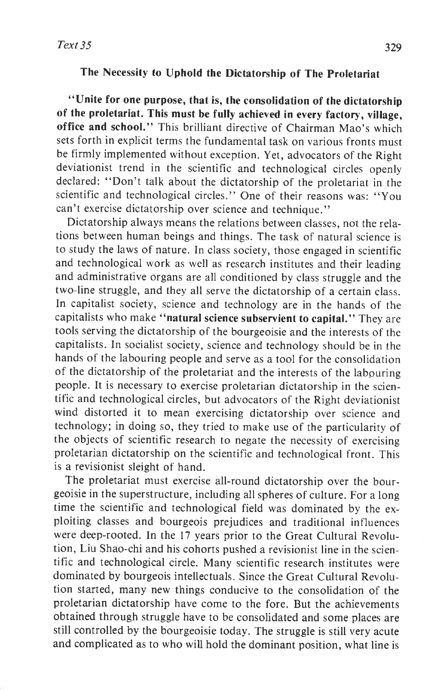### The Necessity to Uphold the Dictatorship of The proletariat

"Unite for one purpose, that is, the consolidation of the dictatorship of the proletariat. This must be fully achieved in every factory, village, office and school." This brilliant directive of Chairman Mao's which sets forth in explicit terms the fundamental task on various fronts must be firmly implemented without exception. Yet, advocators of the Right deviationist trend in the scientific and technological circles openly declared: "Don't talk about the dictatorship of the proletariat in the scientific and technological circles." One of their reasons was: "You can't exercise dictatorship over science and technique."

Dictatorship always means the relations between classes, not the relations between human beings and things. The task of natural science is to study the laws of nature. In class society, those engaged in scientific and technological work as well as research institutes and their leading and administrative organs are all conditioned by class struggle and the two-line struggle, and they all serve the dictatorship of a certain class. In capitalist society, science and technology are in the hands of the capitalists who make "natural science subservient to capital." They are tools serving the dictatorship of the bourgeoisie and the interests of the capitalists. In socialist society, science and technology should be in the hands of the labouring people and serve as a tool for the consolidation of the dictatorship of the proletariat and the interests of the labpuring people. It is necessary to exercise proletarian dictatorship in the scientific and technological circles, but advocators of the Right deviationist wind distorted it to mean exercising dictatorship over science and technology; in doing so, they tried to make use of the particularity of the objects of scientific research to negate the necessity of exercising proletarian dictatorship on the scientific and technological front. This is a revisionist sleight of hand.

The proletariat must exercise all-round dictatorship over the bourgeoisie in the superstructure, including all spheres of culture. For a long time the scientific and technological field was dominated by the exploiting classes and bourgeois prejudices and traditional influences were deep-rooted. In the l7 years prior to the Great Cultural Revolution, Liu Shao-chi and his cohorts pushed a revisionist line in the scientific and technological circle. Many scientific research institutes were dominated by bourgeois intellectuals. Since the Great Cultural Revolution started, many new things conducive to the consolidation of the proletarian dictatorship have come to the fore. But the achievements obtained through struggle have to be consolidated and some places are still controlled by the bourgeoisie today. The struggle is still very acute and complicated as to who will hold the dominant position, what line is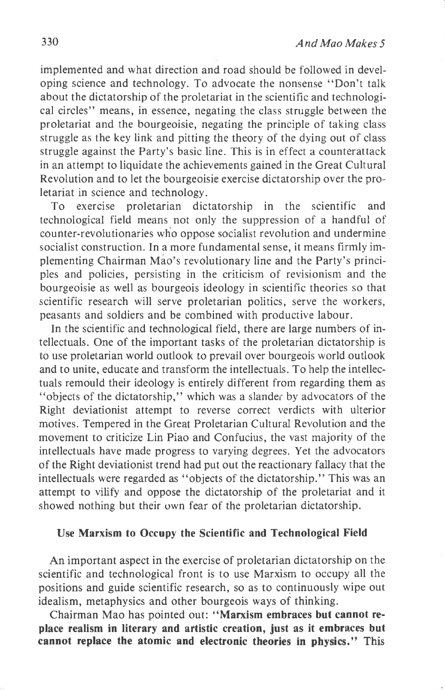implemented and what direction and road should be followed in developing science and technology. To advocate the nonsense "Don't talk about the dictatorship of the proletariat in the scientific and technological circles" means, in essence, negating the class struggle between the proletariat and the bourgeoisie, negating the principle of taking class struggle as the key link and pitting the theory of the dying out of class struggle against the Party's basic line. This is in effect a counterattack in an attempt to liquidate the achievements gained in the Great Cultural Revolution and to let the bourgeoisie exercise dictatorship over the proletariat in science and technology.

To exercise proletarian dictatorship in the scientific and technological field means not only the suppression of a handful of counter-revolutionaries who oppose socialist revolution and undermine socialist construction. In a more fundamental sense, it means firmly implementing Chairman Mao's revolutionary line and the Party's principles and policies, persisting in the criticism of revisionism and the bourgeoisie as well as bourgeois ideology in scientific theories so that scientific research will serve proletarian politics, serve the workers, peasants and soldiers and be combined with productive labour.

In the scientific and technological field, there are large numbers of intellectuals. One of the important tasks of the proletarian dictatorship is to use proletarian world outlook to prevail over bourgeois world outlook and to unite, educate and transform the intellectuals. To help the intellectuals remould their ideology is entirely different from regarding them as "objects of the dictatorship," which was a slander by advocators of the Right deviationist attempt to reverse correct verdicts with ulterior motives. Tempered in the Great Proletarian Cultural Revolution and the movement to criticize Lin Piao and Confucius, the vast majority of the intellectuals have made progress to varying degrees. Yet the advocators of the Right deviationist trend had put out the reactionary fallacy that the intellectuals were regarded as "objects of the dictatorship." This was an attempt to vilify and oppose the dictatorship of the proletariat and it showed nothing but their own fear of the proletarian dictatorship.

#### Use Marxism to Occupy the Scientific and Technological Field

An important aspect in the exercise of proletarian dictatorship on the scientific and technological front is to use Marxism to occupy all the positions and guide scientific research, so as to continuously wipe out idealism, metaphysics and other bourgeois ways of thinking.

Chairman Mao has pointed out: "Marxism embraces but cannot replace realism in literary and artistic creation, just as it embraces but cannot replace the atomic and electronic theories in physics." This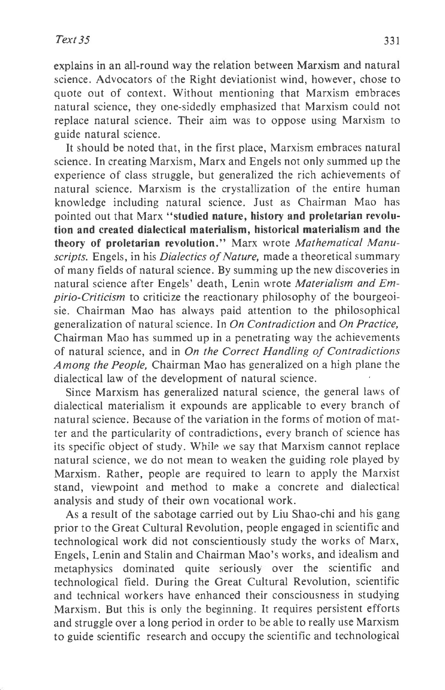explains in an all-round way the relation between Marxism and natural science. Advocators of the Right deviationist wind, however, chose to quote out of context. Without mentioning that Marxism embraces natural science, they one-sidedly emphasized that Marxism could not replace natural science. Their aim was to oppose using Marxism to guide natural science,

It should be noted that, in the first place, Marxism embraces natural science. In creating Marxism, Marx and Engels not only summed up the experience of class struggle, but generalized the rich achievements of natural science. Marxism is the crystallization of the entire human knowledge including natural science. Just as Chairman Mao has pointed out that Marx "studied nature, history and proletarian revolution and created dialectical materialism, historical materialism and the theory of proletarian revolution." Marx wrote Mathematical Manuscripts. Engels, in his Dialectics of Nature, made a theoretical summary of many fields of natural science. By summing up the new discoveries in natural science after Engels' death, Lenin wrote Materialism and Empirio-Criticism to criticize the reactionary philosophy of the bourgeoisie. Chairman Mao has always paid attention to the philosophical generalization of natural science. ln On Contradiction and On Practice, Chairman Mao has summed up in a penetrating way the achievements of natural science, and in On the Correct Handling of Contradictions Among the People, Chairman Mao has generalized on a high plane the dialectical law of the development of natural science.

Since Marxism has generalized natural science, the general laws of dialectical materialism it expounds are applicable to every branch of natural science. Because of the variation in the forms of motion of matter and the particularity of contradictions, every branch of science has its specific object of study. While we say that Marxism cannot replace natural science, we do not mean to weaken the guiding role played by Marxism. Rather, people are required to learn to apply the Marxist stand, viewpoint and method to make a concrete and dialectical analysis and study of their own vocational work.

As a result of the sabotage carried out by Liu Shao-chi and his gang prior to the Great Cultural Revolution, people engaged in scientific and technological work did not conscientiously study the works of Marx, Engels, Lenin and Stalin and Chairman Mao's works, and idealism and metaphysics dominated quite seriously over the scientific and technological field. During the Great Cultural Revolution, scientific and technical workers have enhanced their consciousness in studying Marxism. But this is only the beginning. It requires persistent efforts and struggle over a long period in order to be able to really use Marxism to guide scientific research and occupy the scientific and technological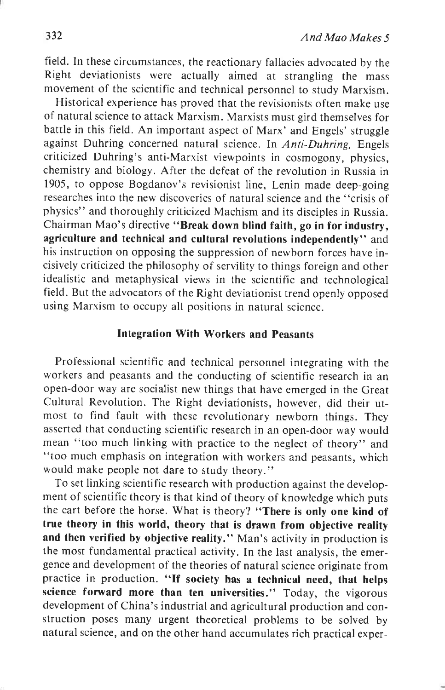field. In these circumstances, the reactionary fallacies advocated by the Right deviationists were actually aimed at strangling the mass movement of the scientific and technical personnel to study Marxism.

Historical experience has proved that the revisionists often make use of natural science to attack Marxism. Marxists must gird themselves for battle in this field. An important aspect of Marx'and Engels'struggle against Duhring concerned natural science. In Anti-Duhring, Engels criticized Duhring's anti-Marxist viewpoints in cosmogony, physics, chemistry and biology. After the defeat of the revolution in Russia in 1905, to oppose Bogdanov's revisionist line, Lenin made deep-going researches into the new discoveries of natural science and the "crisis of physics" and thoroughly criticized Machism and its disciples in Russia. Chairman Mao's directive "Break down blind faith, go in for industry, agriculture and technical and cultural revolutions independently" and his instruction on opposing the suppression of newborn forces have incisively criticized the philosophy of servility to things foreign and other idealistic and metaphysical views in the scientific and technological field. But the advocators of the Right deviationist trend openly opposed using Marxism to occupy all positions in natural science.

#### Integration With Workers and Peasants

Professional scientific and technical personnel integrating with the workers and peasants and the conducting of scientific research in an open-door way are socialist new things that have emerged in the Great Cultural Revolution. The Right deviationists, however, did their utmost to find fault with these revolutionary newborn things. They asserted that conducting scientific research in an open-door way would mean "too much linking with practice to the neglect of theory" and "too much emphasis on integration with workers and peasants, which would make people not dare to study theory."

To set linking scientific research with production against the development of scientific theory is that kind of theory of knowledge which puts the cart before the horse. What is theory? "There is only one kind of true theory in this world, theory that is drawn from objective reality and then verified by objective reality." Man's activity in production is the most fundamental practical activity. In the last analysis, the emergence and development of the theories of natural science originate from practice in production. "If society has a technical need, that helps science forward more than ten universities." Today, the vigorous development of China's industrial and agricultural production and construction poses many urgent theoretical problems to be solved by natural science, and on the other hand accumulates rich practical exper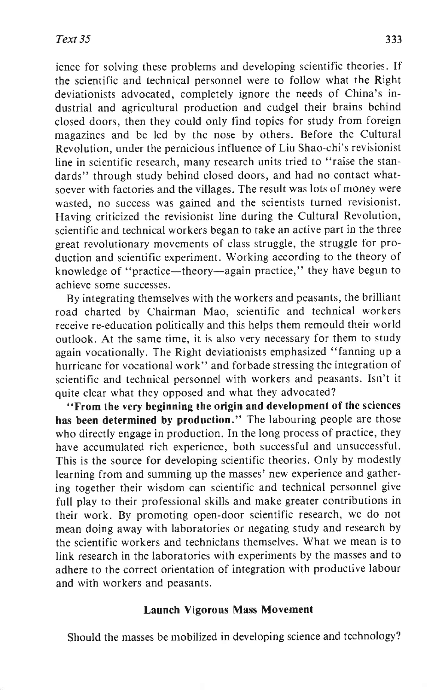ience for solving these problems and developing scientific theories. If the scientific and technical personnel were to follow what the Right deviationists advocated, completely ignore the needs of China's industrial and agricultural production and cudgel their brains behind closed doors, then they could only find topics for study from foreign magazines and be led by the nose by others. Before the Cultural Revolution, under the pernicious influence of Liu Shao-chi's revisionist line in scientific research, many research units tried to "raise the standards" through study behind closed doors, and had no contact whatsoever with factories and the villages. The result was lots of money were wasted, no success was gained and the scientists turned revisionist. Having criticized the revisionist line during the Cultural Revolution, scientific and technical workers began to take an active part in the three great revolutionary movements of class struggle, the struggle for production and scientific experiment. Working according to the theory of knowledge of "practice-theory--again practice," they have begun to achieve some successes.

By integrating themselves with the workers and peasants, the brilliant road charted by Chairman Mao, scientific and technical workers receive re-education politically and this helps them remould their world outlook. At the same time, it is also very necessary for them to study again vocationally. The Right deviationists emphasized "fanning up <sup>a</sup> hurricane for vocational work" and forbade stressing the integration of scientific and technical personnel with workers and peasants. Isn't it quite clear what they opposed and what they advocated?

"From the very beginning the origin and development of the sciences has been determined by production." The labouring people are those who directly engage in production. In the long process of practice, they have accumulated rich experience, both successful and unsuccessful. This is the source for developing scientific theories. Only by modestly learning from and summing up the masses' new experience and gathering together their wisdom can scientific and technical personnel give full play to their professional skills and make greater contributions in their work. By promoting open-door scientific research, we do not mean doing away with laboratories or negating study and research by the scientific workers and techniclans themselves. What we mean is to link research in the laboratories with experiments by the masses and to adhere to the correct orientation of integration with productive labour and with workers and peasants.

#### Launch Yigorous Mass Movement

Should the masses be mobilized in developing science and technology?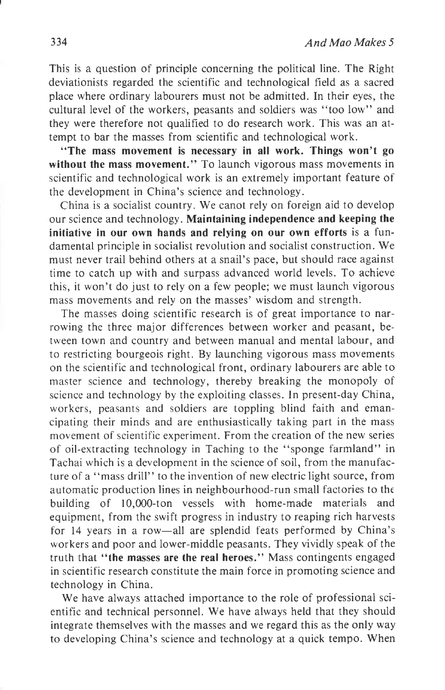This is a question of principle concerning the political line. The Right deviationists regarded the scientific and technological field as a sacred place where ordinary labourers must not be admitted. In their eyes, the cultural level of the workers, peasants and soldiers was "too low" and they were therefore not qualified to do research work. This was an attempt to bar the masses from scientific and technological work.

"The mass movement is necessary in all work. Things won't go without the mass movement." To launch vigorous mass movements in scientific and technological work is an extremely important feature of the development in China's science and technology.

China is a socialist country. We canot rely on foreign aid to develop our science and technology. Maintaining independence and keeping the initiative in our own hands and relying on our own efforts is a fundamental principle in socialist revolution and socialist construction. We must never trail behind others at a snail's pace, but should race against time to catch up with and surpass advanced world levels. To achieve this, it won't do just to rely on a few people; we must launch vigorous mass movements and rely on the masses' wisdom and strength.

The masses doing scientific research is of great importance to narrowing the three major differences between worker and peasant, between town and country and between manual and mental labour, and to restricting bourgeois right. By launching vigorous mass movements on the scientific and technological front, ordinary labourers are able to master science and technology, thereby breaking the monopoly of science and technology by the exploiting classes. In present-day China, workers, peasants and soldiers are toppling blind faith and emancipating their minds and are enthusiastically taking part in the mass movement of scientific experiment. From the creation of the new series of oil-extracting technology in Taching to the "sponge farmland" in Tachai which is a development in the science of soil, from the manufacture of a "mass drill" to the invention of new electric light source, from automatic production lines in neighbourhood-run small factories to the building of 10,000-ton vessels with home-made materials and equipment, from the swift progress in industry to reaping rich harvests for 14 years in a row—all are splendid feats performed by China's workers and poor and lower-middle peasants. They vividly speak of the truth that "the masses are the real heroes." Mass contingents engaged in scientific research constitute the main force in promoting science and technology in China.

We have always attached importance to the role of professional scientific and technical personnel. We have always held that they should integrate themselves with the masses and we regard this as the only way to developing China's science and technology at a quick tempo. When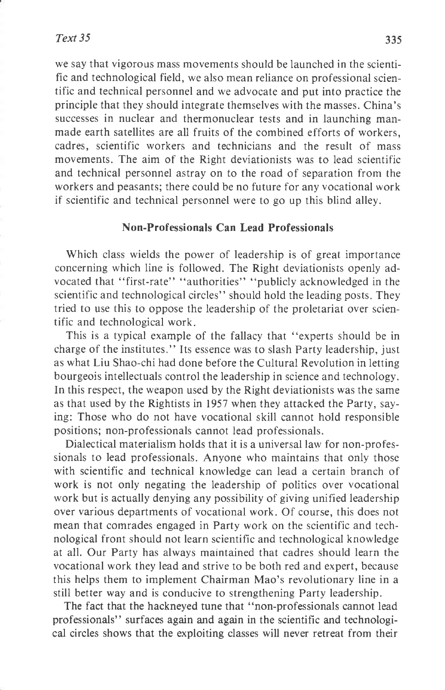we say that vigorous mass movements should be launched in the scientific and technological field, we also mean reliance on professional scientific and technical personnel and we advocate and put into practice the principle that they should integrate themselves with the masses. China's successes in nuclear and thermonuclear tests and in launching manmade earth satellites are all fruits of the combined efforts of workers, cadres, scientific workers and technicians and the result of mass movements. The aim of the Right deviationists was to lead scientific and technical personnel astray on to the road of separation from the workers and peasants; there could be no future for any vocational work if scientific and technical personnel were to go up this blind alley.

### Non-Professionals Can Lead Professionals

Which class wields the power of leadership is of great importance concerning which line is followed. The Right deviationists openly advocated that "first-rate" "authorities" "publicly acknowledged in the scientific and technological circles' should hold the leading posts. They tried to use this to oppose the leadership of the proletariat over scientific and technological work.

This is a typical example of the fallacy that "experts should be in charge of the institutes." Its essence was to slash Party leadership, just as what Liu Shao-chi had done before the Cultural Revolution in letting bourgeois intellectuals control the leadership in science and technology. In this respect, the weapon used by the Right deviationists was the same as that used by the Rightists in 1957 when they attacked the Party, saying: Those who do not have vocational skill cannot hold responsible positions; non-professionals cannot lead professionals.

Dialectical materialism holds that it is a universal law for non-professionals to lead professionals. Anyone who maintains that only those with scientific and technical knowledge can lead a certain branch of work is not only negating the leadership of politics over vocational work but is actually denying any possibility of giving unified leadership over various departments of vocational work. Of course, this does not mean that comrades engaged in Party work on the scientific and technological front should not learn scientific and technological knowledge at all. Our Party has always maintained that cadres should learn the vocational work they lead and strive to be both red and expert, because this helps them to implement Chairman Mao's revolutionary line in <sup>a</sup> still better way and is conducive to strengthening Party leadership.

The fact that the hackneyed tune that "non-professionals cannot lead professionals" surfaces again and again in the scientific and technological circles shows that the exploiting classes will never retreat from their